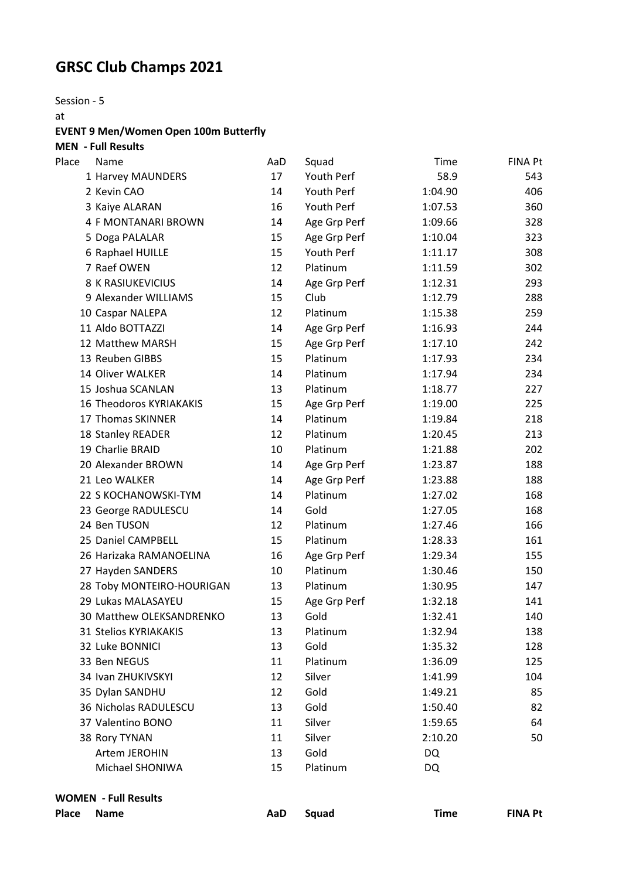## **GRSC Club Champs 2021**

Session - 5

at

## **EVENT 9 Men/Women Open 100m Butterfly**

**MEN - Full Results**

| Place | Name                           | AaD | Squad        | Time      | <b>FINA Pt</b> |
|-------|--------------------------------|-----|--------------|-----------|----------------|
|       | 1 Harvey MAUNDERS              | 17  | Youth Perf   | 58.9      | 543            |
|       | 2 Kevin CAO                    | 14  | Youth Perf   | 1:04.90   | 406            |
|       | 3 Kaiye ALARAN                 | 16  | Youth Perf   | 1:07.53   | 360            |
|       | 4 F MONTANARI BROWN            | 14  | Age Grp Perf | 1:09.66   | 328            |
|       | 5 Doga PALALAR                 | 15  | Age Grp Perf | 1:10.04   | 323            |
|       | 6 Raphael HUILLE               | 15  | Youth Perf   | 1:11.17   | 308            |
|       | 7 Raef OWEN                    | 12  | Platinum     | 1:11.59   | 302            |
|       | 8 K RASIUKEVICIUS              | 14  | Age Grp Perf | 1:12.31   | 293            |
|       | 9 Alexander WILLIAMS           | 15  | Club         | 1:12.79   | 288            |
|       | 10 Caspar NALEPA               | 12  | Platinum     | 1:15.38   | 259            |
|       | 11 Aldo BOTTAZZI               | 14  | Age Grp Perf | 1:16.93   | 244            |
|       | 12 Matthew MARSH               | 15  | Age Grp Perf | 1:17.10   | 242            |
|       | 13 Reuben GIBBS                | 15  | Platinum     | 1:17.93   | 234            |
|       | 14 Oliver WALKER               | 14  | Platinum     | 1:17.94   | 234            |
|       | 15 Joshua SCANLAN              | 13  | Platinum     | 1:18.77   | 227            |
|       | <b>16 Theodoros KYRIAKAKIS</b> | 15  | Age Grp Perf | 1:19.00   | 225            |
|       | 17 Thomas SKINNER              | 14  | Platinum     | 1:19.84   | 218            |
|       | 18 Stanley READER              | 12  | Platinum     | 1:20.45   | 213            |
|       | 19 Charlie BRAID               | 10  | Platinum     | 1:21.88   | 202            |
|       | 20 Alexander BROWN             | 14  | Age Grp Perf | 1:23.87   | 188            |
|       | 21 Leo WALKER                  | 14  | Age Grp Perf | 1:23.88   | 188            |
|       | 22 S KOCHANOWSKI-TYM           | 14  | Platinum     | 1:27.02   | 168            |
|       | 23 George RADULESCU            | 14  | Gold         | 1:27.05   | 168            |
|       | 24 Ben TUSON                   | 12  | Platinum     | 1:27.46   | 166            |
|       | 25 Daniel CAMPBELL             | 15  | Platinum     | 1:28.33   | 161            |
|       | 26 Harizaka RAMANOELINA        | 16  | Age Grp Perf | 1:29.34   | 155            |
|       | 27 Hayden SANDERS              | 10  | Platinum     | 1:30.46   | 150            |
|       | 28 Toby MONTEIRO-HOURIGAN      | 13  | Platinum     | 1:30.95   | 147            |
|       | 29 Lukas MALASAYEU             | 15  | Age Grp Perf | 1:32.18   | 141            |
|       | 30 Matthew OLEKSANDRENKO       | 13  | Gold         | 1:32.41   | 140            |
|       | <b>31 Stelios KYRIAKAKIS</b>   | 13  | Platinum     | 1:32.94   | 138            |
|       | 32 Luke BONNICI                | 13  | Gold         | 1:35.32   | 128            |
|       | 33 Ben NEGUS                   | 11  | Platinum     | 1:36.09   | 125            |
|       | 34 Ivan ZHUKIVSKYI             | 12  | Silver       | 1:41.99   | 104            |
|       | 35 Dylan SANDHU                | 12  | Gold         | 1:49.21   | 85             |
|       | 36 Nicholas RADULESCU          | 13  | Gold         | 1:50.40   | 82             |
|       | 37 Valentino BONO              | 11  | Silver       | 1:59.65   | 64             |
|       | 38 Rory TYNAN                  | 11  | Silver       | 2:10.20   | 50             |
|       | Artem JEROHIN                  | 13  | Gold         | DQ        |                |
|       | Michael SHONIWA                | 15  | Platinum     | <b>DQ</b> |                |
|       |                                |     |              |           |                |

**WOMEN - Full Results**

| Place | Nam |
|-------|-----|
|-------|-----|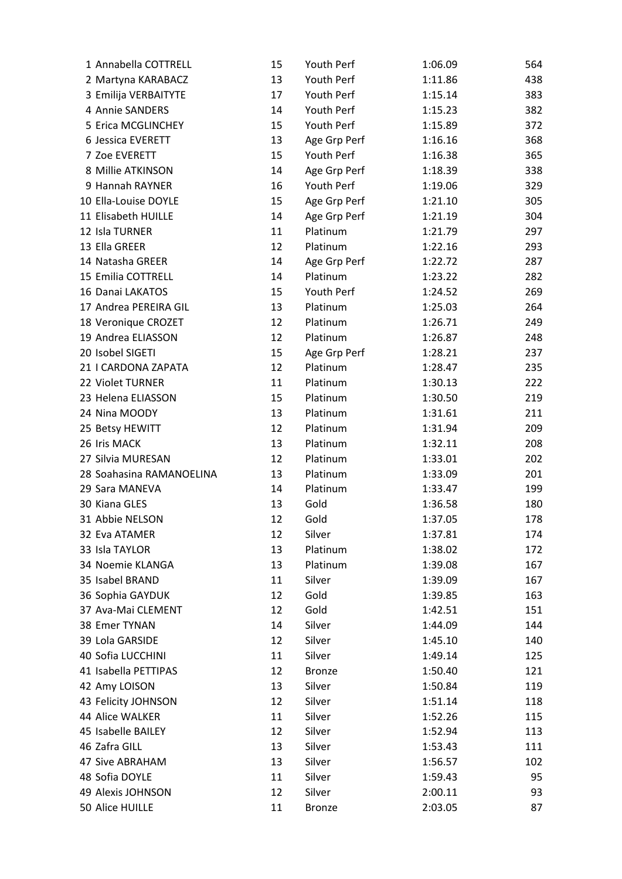| 1 Annabella COTTRELL     | 15 | Youth Perf    | 1:06.09 | 564 |
|--------------------------|----|---------------|---------|-----|
| 2 Martyna KARABACZ       | 13 | Youth Perf    | 1:11.86 | 438 |
| 3 Emilija VERBAITYTE     | 17 | Youth Perf    | 1:15.14 | 383 |
| 4 Annie SANDERS          | 14 | Youth Perf    | 1:15.23 | 382 |
| 5 Erica MCGLINCHEY       | 15 | Youth Perf    | 1:15.89 | 372 |
| 6 Jessica EVERETT        | 13 | Age Grp Perf  | 1:16.16 | 368 |
| 7 Zoe EVERETT            | 15 | Youth Perf    | 1:16.38 | 365 |
| 8 Millie ATKINSON        | 14 | Age Grp Perf  | 1:18.39 | 338 |
| 9 Hannah RAYNER          | 16 | Youth Perf    | 1:19.06 | 329 |
| 10 Ella-Louise DOYLE     | 15 | Age Grp Perf  | 1:21.10 | 305 |
| 11 Elisabeth HUILLE      | 14 | Age Grp Perf  | 1:21.19 | 304 |
| 12 Isla TURNER           | 11 | Platinum      | 1:21.79 | 297 |
| 13 Ella GREER            | 12 | Platinum      | 1:22.16 | 293 |
| 14 Natasha GREER         | 14 | Age Grp Perf  | 1:22.72 | 287 |
| 15 Emilia COTTRELL       | 14 | Platinum      | 1:23.22 | 282 |
| 16 Danai LAKATOS         | 15 | Youth Perf    | 1:24.52 | 269 |
| 17 Andrea PEREIRA GIL    | 13 | Platinum      | 1:25.03 | 264 |
| 18 Veronique CROZET      | 12 | Platinum      | 1:26.71 | 249 |
| 19 Andrea ELIASSON       | 12 | Platinum      | 1:26.87 | 248 |
| 20 Isobel SIGETI         | 15 | Age Grp Perf  | 1:28.21 | 237 |
| 21   CARDONA ZAPATA      | 12 | Platinum      | 1:28.47 | 235 |
| 22 Violet TURNER         | 11 | Platinum      | 1:30.13 | 222 |
| 23 Helena ELIASSON       | 15 | Platinum      | 1:30.50 | 219 |
| 24 Nina MOODY            | 13 | Platinum      | 1:31.61 | 211 |
| 25 Betsy HEWITT          | 12 | Platinum      | 1:31.94 | 209 |
| 26 Iris MACK             | 13 | Platinum      | 1:32.11 | 208 |
| 27 Silvia MURESAN        | 12 | Platinum      | 1:33.01 | 202 |
| 28 Soahasina RAMANOELINA | 13 | Platinum      | 1:33.09 | 201 |
| 29 Sara MANEVA           | 14 | Platinum      | 1:33.47 | 199 |
| 30 Kiana GLES            | 13 | Gold          | 1:36.58 | 180 |
| 31 Abbie NELSON          | 12 | Gold          | 1:37.05 | 178 |
| 32 Eva ATAMER            | 12 | Silver        | 1:37.81 | 174 |
| 33 Isla TAYLOR           | 13 | Platinum      | 1:38.02 | 172 |
| 34 Noemie KLANGA         | 13 | Platinum      | 1:39.08 | 167 |
| 35 Isabel BRAND          | 11 | Silver        | 1:39.09 | 167 |
| 36 Sophia GAYDUK         | 12 | Gold          | 1:39.85 | 163 |
| 37 Ava-Mai CLEMENT       | 12 | Gold          | 1:42.51 | 151 |
| 38 Emer TYNAN            | 14 | Silver        | 1:44.09 | 144 |
| 39 Lola GARSIDE          | 12 | Silver        | 1:45.10 | 140 |
| 40 Sofia LUCCHINI        | 11 | Silver        | 1:49.14 | 125 |
| 41 Isabella PETTIPAS     | 12 | <b>Bronze</b> | 1:50.40 | 121 |
| 42 Amy LOISON            | 13 | Silver        | 1:50.84 | 119 |
| 43 Felicity JOHNSON      | 12 | Silver        | 1:51.14 | 118 |
| 44 Alice WALKER          | 11 | Silver        | 1:52.26 | 115 |
| 45 Isabelle BAILEY       | 12 | Silver        | 1:52.94 | 113 |
| 46 Zafra GILL            | 13 | Silver        | 1:53.43 | 111 |
| 47 Sive ABRAHAM          | 13 | Silver        | 1:56.57 | 102 |
| 48 Sofia DOYLE           | 11 | Silver        | 1:59.43 | 95  |
| 49 Alexis JOHNSON        | 12 | Silver        | 2:00.11 | 93  |
| 50 Alice HUILLE          | 11 |               |         | 87  |
|                          |    | <b>Bronze</b> | 2:03.05 |     |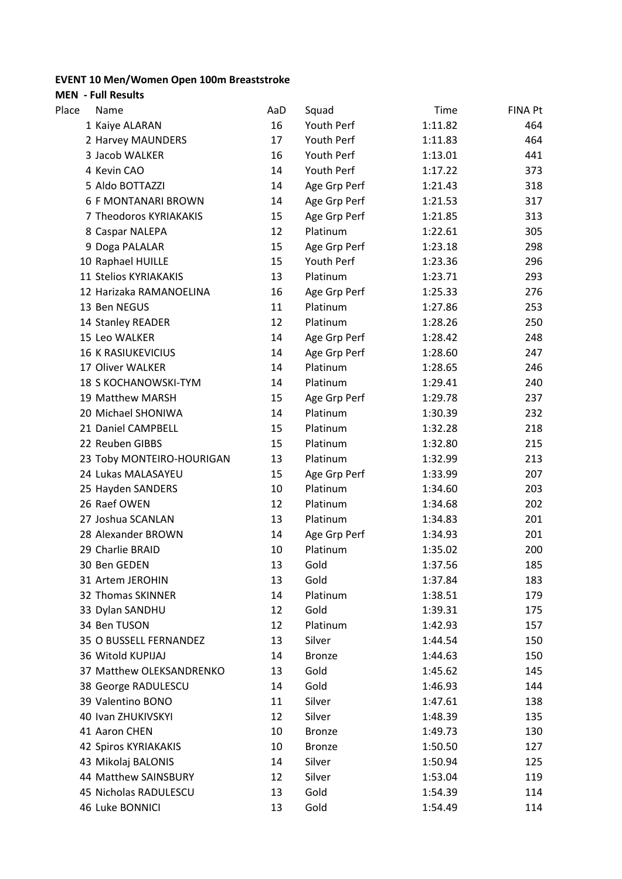## **EVENT 10 Men/Women Open 100m Breaststroke**

**MEN - Full Results**

| Place | Name                        | AaD | Squad         | Time    | FINA Pt |
|-------|-----------------------------|-----|---------------|---------|---------|
|       | 1 Kaiye ALARAN              | 16  | Youth Perf    | 1:11.82 | 464     |
|       | 2 Harvey MAUNDERS           | 17  | Youth Perf    | 1:11.83 | 464     |
|       | 3 Jacob WALKER              | 16  | Youth Perf    | 1:13.01 | 441     |
|       | 4 Kevin CAO                 | 14  | Youth Perf    | 1:17.22 | 373     |
|       | 5 Aldo BOTTAZZI             | 14  | Age Grp Perf  | 1:21.43 | 318     |
|       | <b>6 F MONTANARI BROWN</b>  | 14  | Age Grp Perf  | 1:21.53 | 317     |
|       | 7 Theodoros KYRIAKAKIS      | 15  | Age Grp Perf  | 1:21.85 | 313     |
|       | 8 Caspar NALEPA             | 12  | Platinum      | 1:22.61 | 305     |
|       | 9 Doga PALALAR              | 15  | Age Grp Perf  | 1:23.18 | 298     |
|       | 10 Raphael HUILLE           | 15  | Youth Perf    | 1:23.36 | 296     |
|       | 11 Stelios KYRIAKAKIS       | 13  | Platinum      | 1:23.71 | 293     |
|       | 12 Harizaka RAMANOELINA     | 16  | Age Grp Perf  | 1:25.33 | 276     |
|       | 13 Ben NEGUS                | 11  | Platinum      | 1:27.86 | 253     |
|       | 14 Stanley READER           | 12  | Platinum      | 1:28.26 | 250     |
|       | 15 Leo WALKER               | 14  | Age Grp Perf  | 1:28.42 | 248     |
|       | <b>16 K RASIUKEVICIUS</b>   | 14  | Age Grp Perf  | 1:28.60 | 247     |
|       | 17 Oliver WALKER            | 14  | Platinum      | 1:28.65 | 246     |
|       | <b>18 S KOCHANOWSKI-TYM</b> | 14  | Platinum      | 1:29.41 | 240     |
|       | 19 Matthew MARSH            | 15  | Age Grp Perf  | 1:29.78 | 237     |
|       | 20 Michael SHONIWA          | 14  | Platinum      | 1:30.39 | 232     |
|       | 21 Daniel CAMPBELL          | 15  | Platinum      | 1:32.28 | 218     |
|       | 22 Reuben GIBBS             | 15  | Platinum      | 1:32.80 | 215     |
|       | 23 Toby MONTEIRO-HOURIGAN   | 13  | Platinum      | 1:32.99 | 213     |
|       | 24 Lukas MALASAYEU          | 15  | Age Grp Perf  | 1:33.99 | 207     |
|       | 25 Hayden SANDERS           | 10  | Platinum      | 1:34.60 | 203     |
|       | 26 Raef OWEN                | 12  | Platinum      | 1:34.68 | 202     |
|       | 27 Joshua SCANLAN           | 13  | Platinum      | 1:34.83 | 201     |
|       | 28 Alexander BROWN          | 14  | Age Grp Perf  | 1:34.93 | 201     |
|       | 29 Charlie BRAID            | 10  | Platinum      | 1:35.02 | 200     |
|       | 30 Ben GEDEN                | 13  | Gold          | 1:37.56 | 185     |
|       | 31 Artem JEROHIN            | 13  | Gold          | 1:37.84 | 183     |
|       | 32 Thomas SKINNER           | 14  | Platinum      | 1:38.51 | 179     |
|       | 33 Dylan SANDHU             | 12  | Gold          | 1:39.31 | 175     |
|       | 34 Ben TUSON                | 12  | Platinum      | 1:42.93 | 157     |
|       | 35 O BUSSELL FERNANDEZ      | 13  | Silver        | 1:44.54 | 150     |
|       | 36 Witold KUPIJAJ           | 14  | <b>Bronze</b> | 1:44.63 | 150     |
|       | 37 Matthew OLEKSANDRENKO    | 13  | Gold          | 1:45.62 | 145     |
|       | 38 George RADULESCU         | 14  | Gold          | 1:46.93 | 144     |
|       | 39 Valentino BONO           | 11  | Silver        | 1:47.61 | 138     |
|       | 40 Ivan ZHUKIVSKYI          | 12  | Silver        | 1:48.39 | 135     |
|       | 41 Aaron CHEN               | 10  | <b>Bronze</b> | 1:49.73 | 130     |
|       | 42 Spiros KYRIAKAKIS        | 10  | <b>Bronze</b> | 1:50.50 | 127     |
|       | 43 Mikolaj BALONIS          | 14  | Silver        | 1:50.94 | 125     |
|       | 44 Matthew SAINSBURY        | 12  | Silver        | 1:53.04 | 119     |
|       | 45 Nicholas RADULESCU       | 13  | Gold          | 1:54.39 | 114     |
|       | 46 Luke BONNICI             | 13  | Gold          | 1:54.49 | 114     |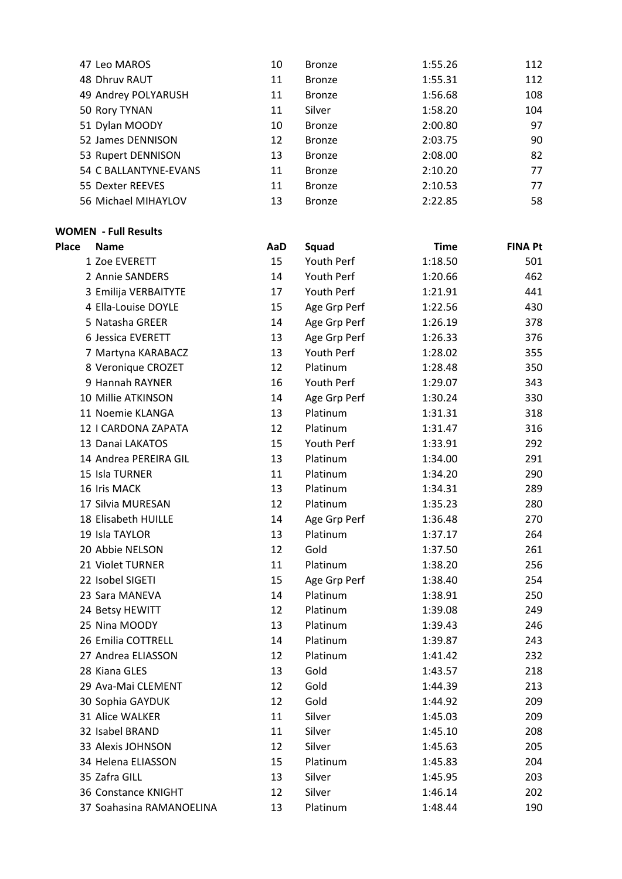| 47 Leo MAROS          | 10 | <b>Bronze</b> | 1:55.26 | 112 |
|-----------------------|----|---------------|---------|-----|
| 48 Dhruv RAUT         | 11 | <b>Bronze</b> | 1:55.31 | 112 |
| 49 Andrey POLYARUSH   | 11 | <b>Bronze</b> | 1:56.68 | 108 |
| 50 Rory TYNAN         | 11 | Silver        | 1:58.20 | 104 |
| 51 Dylan MOODY        | 10 | <b>Bronze</b> | 2:00.80 | 97  |
| 52 James DENNISON     | 12 | <b>Bronze</b> | 2:03.75 | 90  |
| 53 Rupert DENNISON    | 13 | <b>Bronze</b> | 2:08.00 | 82  |
| 54 C BALLANTYNE-EVANS | 11 | <b>Bronze</b> | 2:10.20 | 77  |
| 55 Dexter REEVES      | 11 | <b>Bronze</b> | 2:10.53 | 77  |
| 56 Michael MIHAYLOV   | 13 | <b>Bronze</b> | 2:22.85 | 58  |

## **WOMEN - Full Results**

| <b>Place</b> | <b>Name</b>              | AaD | Squad        | <b>Time</b> | <b>FINA Pt</b> |
|--------------|--------------------------|-----|--------------|-------------|----------------|
|              | 1 Zoe EVERETT            | 15  | Youth Perf   | 1:18.50     | 501            |
|              | 2 Annie SANDERS          | 14  | Youth Perf   | 1:20.66     | 462            |
|              | 3 Emilija VERBAITYTE     | 17  | Youth Perf   | 1:21.91     | 441            |
|              | 4 Ella-Louise DOYLE      | 15  | Age Grp Perf | 1:22.56     | 430            |
|              | 5 Natasha GREER          | 14  | Age Grp Perf | 1:26.19     | 378            |
|              | 6 Jessica EVERETT        | 13  | Age Grp Perf | 1:26.33     | 376            |
|              | 7 Martyna KARABACZ       | 13  | Youth Perf   | 1:28.02     | 355            |
|              | 8 Veronique CROZET       | 12  | Platinum     | 1:28.48     | 350            |
|              | 9 Hannah RAYNER          | 16  | Youth Perf   | 1:29.07     | 343            |
|              | 10 Millie ATKINSON       | 14  | Age Grp Perf | 1:30.24     | 330            |
|              | 11 Noemie KLANGA         | 13  | Platinum     | 1:31.31     | 318            |
|              | 12   CARDONA ZAPATA      | 12  | Platinum     | 1:31.47     | 316            |
|              | 13 Danai LAKATOS         | 15  | Youth Perf   | 1:33.91     | 292            |
|              | 14 Andrea PEREIRA GIL    | 13  | Platinum     | 1:34.00     | 291            |
|              | 15 Isla TURNER           | 11  | Platinum     | 1:34.20     | 290            |
|              | 16 Iris MACK             | 13  | Platinum     | 1:34.31     | 289            |
|              | 17 Silvia MURESAN        | 12  | Platinum     | 1:35.23     | 280            |
|              | 18 Elisabeth HUILLE      | 14  | Age Grp Perf | 1:36.48     | 270            |
|              | 19 Isla TAYLOR           | 13  | Platinum     | 1:37.17     | 264            |
|              | 20 Abbie NELSON          | 12  | Gold         | 1:37.50     | 261            |
|              | 21 Violet TURNER         | 11  | Platinum     | 1:38.20     | 256            |
|              | 22 Isobel SIGETI         | 15  | Age Grp Perf | 1:38.40     | 254            |
|              | 23 Sara MANEVA           | 14  | Platinum     | 1:38.91     | 250            |
|              | 24 Betsy HEWITT          | 12  | Platinum     | 1:39.08     | 249            |
|              | 25 Nina MOODY            | 13  | Platinum     | 1:39.43     | 246            |
|              | 26 Emilia COTTRELL       | 14  | Platinum     | 1:39.87     | 243            |
|              | 27 Andrea ELIASSON       | 12  | Platinum     | 1:41.42     | 232            |
|              | 28 Kiana GLES            | 13  | Gold         | 1:43.57     | 218            |
|              | 29 Ava-Mai CLEMENT       | 12  | Gold         | 1:44.39     | 213            |
|              | 30 Sophia GAYDUK         | 12  | Gold         | 1:44.92     | 209            |
|              | 31 Alice WALKER          | 11  | Silver       | 1:45.03     | 209            |
|              | 32 Isabel BRAND          | 11  | Silver       | 1:45.10     | 208            |
|              | 33 Alexis JOHNSON        | 12  | Silver       | 1:45.63     | 205            |
|              | 34 Helena ELIASSON       | 15  | Platinum     | 1:45.83     | 204            |
|              | 35 Zafra GILL            | 13  | Silver       | 1:45.95     | 203            |
|              | 36 Constance KNIGHT      | 12  | Silver       | 1:46.14     | 202            |
|              | 37 Soahasina RAMANOELINA | 13  | Platinum     | 1:48.44     | 190            |